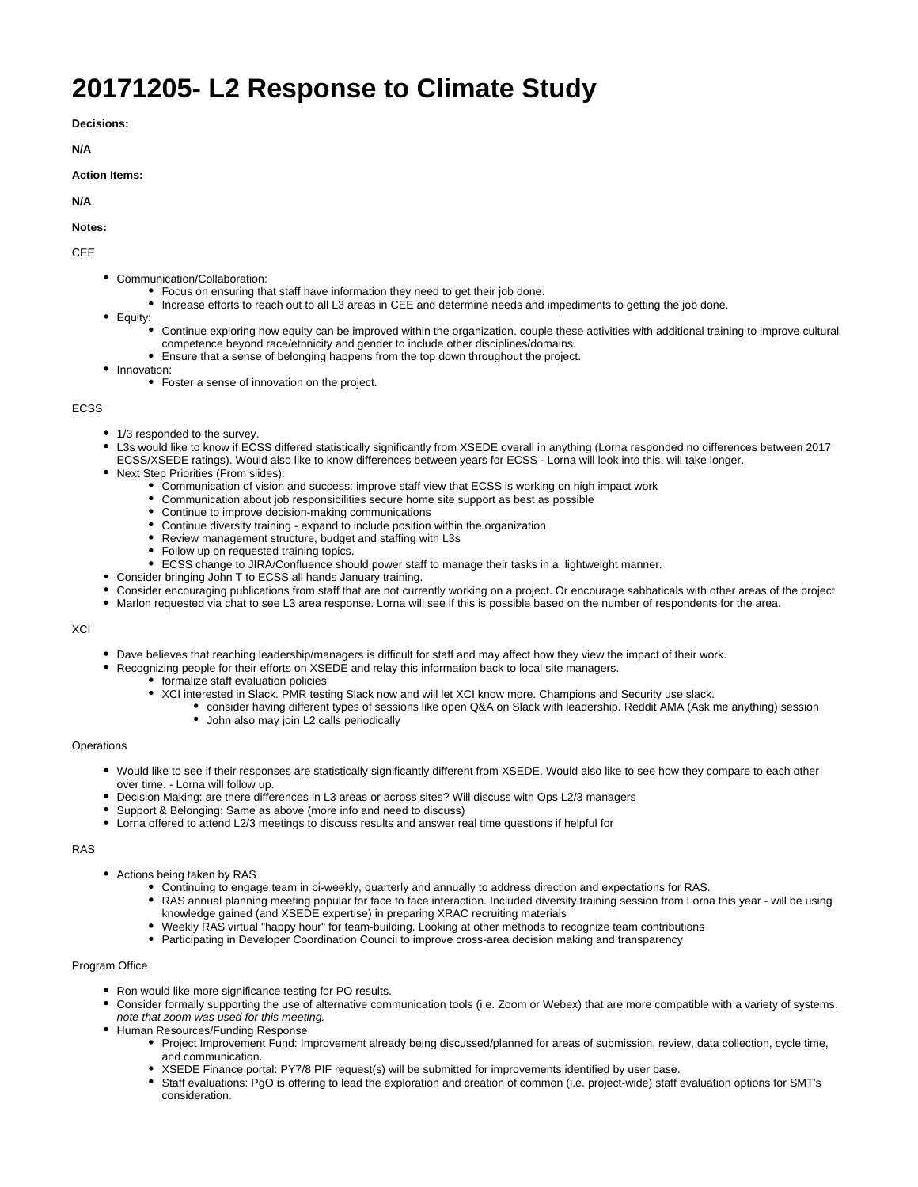# **20171205- L2 Response to Climate Study**

**Decisions:**

**N/A**

### **Action Items:**

**N/A**

#### **Notes:**

CEE

- Communication/Collaboration:
	- Focus on ensuring that staff have information they need to get their job done.
	- Increase efforts to reach out to all L3 areas in CEE and determine needs and impediments to getting the job done.
- Equity:
	- Continue exploring how equity can be improved within the organization. couple these activities with additional training to improve cultural competence beyond race/ethnicity and gender to include other disciplines/domains.
	- Ensure that a sense of belonging happens from the top down throughout the project.
- Innovation:
	- Foster a sense of innovation on the project.

#### ECSS

- 1/3 responded to the survey
- L3s would like to know if ECSS differed statistically significantly from XSEDE overall in anything (Lorna responded no differences between 2017 ECSS/XSEDE ratings). Would also like to know differences between years for ECSS - Lorna will look into this, will take longer.
- Next Step Priorities (From slides):
	- Communication of vision and success: improve staff view that ECSS is working on high impact work
	- Communication about job responsibilities secure home site support as best as possible
	- Continue to improve decision-making communications
	- Continue diversity training expand to include position within the organization
	- Review management structure, budget and staffing with L3s
	- Follow up on requested training topics.
	- ECSS change to JIRA/Confluence should power staff to manage their tasks in a lightweight manner.
- Consider bringing John T to ECSS all hands January training.
- Consider encouraging publications from staff that are not currently working on a project. Or encourage sabbaticals with other areas of the project
- Marlon requested via chat to see L3 area response. Lorna will see if this is possible based on the number of respondents for the area.

#### **XCI**

- Dave believes that reaching leadership/managers is difficult for staff and may affect how they view the impact of their work.
- Recognizing people for their efforts on XSEDE and relay this information back to local site managers.
	- formalize staff evaluation policies
	- XCI interested in Slack. PMR testing Slack now and will let XCI know more. Champions and Security use slack.
		- consider having different types of sessions like open Q&A on Slack with leadership. Reddit AMA (Ask me anything) session
			- John also may join L2 calls periodically

#### **Operations**

- Would like to see if their responses are statistically significantly different from XSEDE. Would also like to see how they compare to each other over time. - Lorna will follow up.
- Decision Making: are there differences in L3 areas or across sites? Will discuss with Ops L2/3 managers
- Support & Belonging: Same as above (more info and need to discuss)
- Lorna offered to attend L2/3 meetings to discuss results and answer real time questions if helpful for

# RAS

- Actions being taken by RAS
	- Continuing to engage team in bi-weekly, quarterly and annually to address direction and expectations for RAS.
	- RAS annual planning meeting popular for face to face interaction. Included diversity training session from Lorna this year will be using knowledge gained (and XSEDE expertise) in preparing XRAC recruiting materials
	- Weekly RAS virtual "happy hour" for team-building. Looking at other methods to recognize team contributions
	- Participating in Developer Coordination Council to improve cross-area decision making and transparency

# Program Office

- Ron would like more significance testing for PO results.
	- Consider formally supporting the use of alternative communication tools (i.e. Zoom or Webex) that are more compatible with a variety of systems. note that zoom was used for this meeting.
- Human Resources/Funding Response
	- Project Improvement Fund: Improvement already being discussed/planned for areas of submission, review, data collection, cycle time, and communication.
	- XSEDE Finance portal: PY7/8 PIF request(s) will be submitted for improvements identified by user base.
	- Staff evaluations: PgO is offering to lead the exploration and creation of common (i.e. project-wide) staff evaluation options for SMT's consideration.